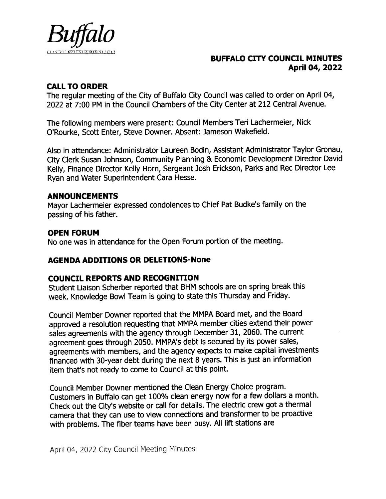

# BUFFALO CITY COUNCIL MINUTES April 04, 2022

# CALL TO ORDER

The regular meeting of the City of Buffalo City Council was called to order on April 04, 2022 at 7:00 PM in the Council Chambers of the City Center at 212 Central Avenue.

The following members were present: Council Members Teri Lachermeier, Nick 0' Rourke, Scott Enter, Steve Downer. Absent: Jameson Wakefield.

Also in attendance: Administrator Laureen Bodin, Assistant Administrator Taylor Gronau, City Clerk Susan ] ohnson, Community Planning & Economic Development Director David Kelly, Finance Director Kelly Horn, Sergeant Josh Erickson, Parks and Rec Director Lee Ryan and Water Superintendent Cara Hesse.

## ANNOUNCEMENTS

Mayor Lachermeier expressed condolences to Chief Pat Budke's family on the passing of his father.

# OPEN FORUM

No one was in attendance for the Open Forum portion of the meeting.

# AGENDA ADDITIONS OR DELETIONS- None

# COUNCIL REPORTS AND RECOGNITION

Student Liaison Scherber reported that BHM schools are on spring break this week. Knowledge Bowl Team is going to state this Thursday and Friday.

Council Member Downer reported that the MMPA Board met, and the Board approved a resolution requesting that MMPA member cities extend their power sales agreements with the agency through December 31, 2060. The current agreement goes through 2050. MMPA's debt is secured by its power sales, agreements with members, and the agency expects to make capital investments financed with 30-year debt during the next 8 years. This is just an information item that's not ready to come to Council at this point.

Council Member Downer mentioned the Clean Energy Choice program. Customers in Buffalo can get 100% clean energy now for <sup>a</sup> few dollars <sup>a</sup> month. Check out the City's website or call for details. The electric crew got a thermal camera that they can use to view connections and transformer to be proactive with problems. The fiber teams have been busy. All lift stations are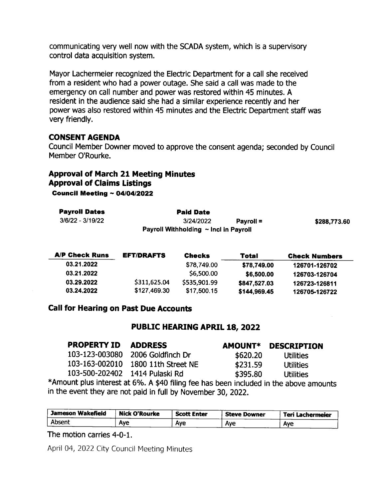communicating very well now with the SCADA system, which is a supervisory control data acquisition system.

Mayor Lachermeier recognized the Electric Department for a call she received from a resident who had a power outage. She said a call was made to the emergency on call number and power was restored within 45 minutes. A resident in the audience said she had a similar experience recently and her power was also restored within 45 minutes and the Electric Department staff was very friendly.

### CONSENT AGENDA

Council Member Downer moved to approve the consent agenda; seconded by Council Member 0'Rourke.

# Approval of March 21 Meeting Minutes Approval of Claims Listings

Council Meeting  $\sim 04/04/2022$ 

| <b>Payroll Dates</b> | <b>Paid Date</b>                           |           |              |
|----------------------|--------------------------------------------|-----------|--------------|
| 3/6/22 - 3/19/22     | 3/24/2022                                  | Pavroll = | \$288,773.60 |
|                      | Payroll Withholding $\sim$ Incl in Payroll |           |              |

| <b>A/P Check Runs</b> | <b>EFT/DRAFTS</b> | <b>Checks</b> | Total        | <b>Check Numbers</b> |
|-----------------------|-------------------|---------------|--------------|----------------------|
| 03.21.2022            |                   | \$78,749.00   | \$78,749.00  | 126701-126702        |
| 03.21.2022            |                   | \$6,500.00    | \$6,500.00   | 126703-126704        |
| 03.29.2022            | \$311,625.04      | \$535,901.99  | \$847,527.03 | 126723-126811        |
| 03.24.2022            | \$127,469.30      | \$17,500.15   | \$144,969.45 | 126705-126722        |

### Call for Hearing on Past Due Accounts

### PUBLIC HEARING APRIL 18, 2022

| <b>PROPERTY ID</b>             | <b>ADDRESS</b>                                                                       | <b>AMOUNT*</b> | <b>DESCRIPTION</b> |
|--------------------------------|--------------------------------------------------------------------------------------|----------------|--------------------|
| 103-123-003080                 | 2006 Goldfinch Dr                                                                    | \$620.20       | <b>Utilities</b>   |
| 103-163-002010                 | 1800 11th Street NE                                                                  | \$231.59       | <b>Utilities</b>   |
| 103-500-202402 1414 Pulaski Rd |                                                                                      | \$395.80       | <b>Utilities</b>   |
|                                | Amount plus interest at 6%. A \$40 filing fee has been included in the above amounts |                |                    |

in the event they are not paid in full by November 30, 2022.

| Jameson Wakefield | <b>Nick O'Rourke</b> | <b>Scott Enter</b> | <b>Steve Downer</b> | Teri Lachermeier |
|-------------------|----------------------|--------------------|---------------------|------------------|
| Absent            | Ave                  | Ave                | Ave                 | Ave              |

The motion carries 4-0-1.

April 04, 2022 City Council Meeting Minutes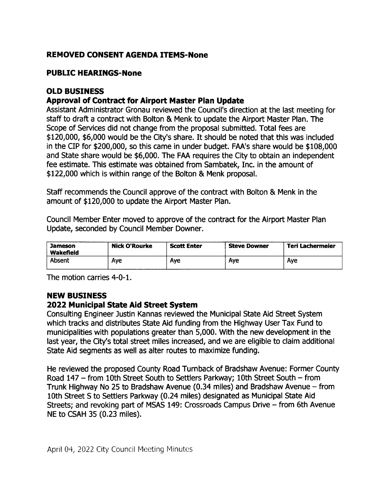# **REMOVED CONSENT AGENDA ITEMS-None**

# PUBLIC HEARINGS-None

# OLD BUSINESS

# Approval of Contract for Airport Master Plan Update

Assistant Administrator Gronau reviewed the Council's direction at the last meeting for staff to draft a contract with Bolton & Menk to update the Airport Master Plan. The Scope of Services did not change from the proposal submitted. Total fees are \$120,000, \$6,000 would be the City's share. It should be noted that this was included in the CIP for \$200,000, so this came in under budget. FAA's share would be \$108,000 and State share would be \$6,000. The FAA requires the City to obtain an independent fee estimate. This estimate was obtained from Sambatek, Inc. in the amount of 122,000 which is within range of the Bolton & Menk proposal.

Staff recommends the Council approve of the contract with Bolton & Menk in the amount of \$120,000 to update the Airport Master Plan.

Council Member Enter moved to approve of the contract for the Airport Master Plan Update, seconded by Council Member Downer.

| <b>Jameson</b><br>Wakefield | <b>Nick O'Rourke</b> | <b>Scott Enter</b> | <b>Steve Downer</b> | Teri Lachermeier |
|-----------------------------|----------------------|--------------------|---------------------|------------------|
| Absent                      | Ave                  | Ave                | Aye                 | Ave              |

The motion carries 4-0-1.

# NEW BUSINESS

# 2022 Municipal State Aid Street System

Consulting Engineer ] ustin Kannas reviewed the Municipal State Aid Street System which tracks and distributes State Aid funding from the Highway User Tax Fund to municipalities with populations greater than 5, 000. With the new development in the last year, the City's total street miles increased, and we are eligible to claim additional State Aid segments as well as alter routes to maximize funding.

He reviewed the proposed County Road Turnback of Bradshaw Avenue: Former County Road 147 — from lOth Street South to Settlers Parkway; 10th Street South — from Trunk Highway No 25 to Bradshaw Avenue ( 0. 34 miles) and Bradshaw Avenue — from 10th Street 5 to Settlers Parkway ( 0. 24 miles) designated as Municipal State Aid Streets; and revoking part of MSAS 149: Crossroads Campus Drive — from 6th Avenue NE to CSAH 35 (0.23 miles).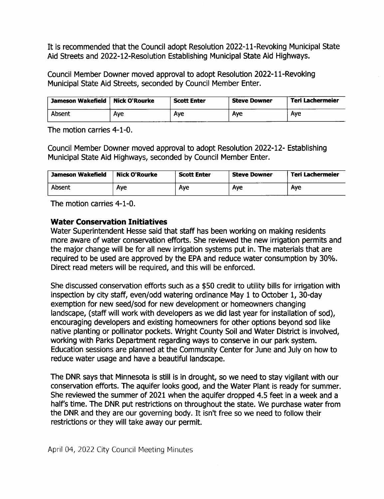It is recommended that the Council adopt Resolution 2022-11-Revoking Municipal State Aid Streets and 2022-12-Resolution Establishing Municipal State Aid Highways.

Council Member Downer moved approval to adopt Resolution 2022-11-Revoking Municipal State Aid Streets, seconded by Council Member Enter.

| <b>Jameson Wakefield</b> | <b>Nick O'Rourke</b> | <b>Scott Enter</b> | <b>Steve Downer</b> | Teri Lachermeier |
|--------------------------|----------------------|--------------------|---------------------|------------------|
| Absent                   | Aye                  | Ave                | Ave                 | Ave              |

The motion carries 4-1-0.

Council Member Downer moved approval to adopt Resolution 2022-12- Establishing Municipal State Aid Highways, seconded by Council Member Enter.

| Jameson Wakefield | <b>Nick O'Rourke</b> | <b>Scott Enter</b> | <b>Steve Downer</b> | Teri Lachermeier |
|-------------------|----------------------|--------------------|---------------------|------------------|
| Absent            | Ave                  | Ave                | Aye                 | Aye              |

The motion carries 4-1-0.

## Water Conservation Initiatives

Water Superintendent Hesse said that staff has been working on making residents more aware of water conservation efforts. She reviewed the new irrigation permits and the major change will be for all new irrigation systems put in. The materials that are required to be used are approved by the EPA and reduce water consumption by 30%. Direct read meters will be required, and this will be enforced.

She discussed conservation efforts such as a \$50 credit to utility bills for irrigation with inspection by city staff, even/odd watering ordinance May 1 to October 1, 30-day exemption for new seed/sod for new development or homeowners changing landscape, (staff will work with developers as we did last year for installation of sod), encouraging developers and existing homeowners for other options beyond sod like native planting or pollinator pockets. Wright County Soil and Water District is involved, working with Parks Department regarding ways to conserve in our park system. Education sessions are planned at the Community Center for June and July on how to reduce water usage and have a beautiful landscape.

The DNR says that Minnesota is still is in drought, so we need to stay vigilant with our conservation efforts. The aquifer looks good, and the Water Plant is ready for summer. She reviewed the summer of 2021 when the aquifer dropped 4. 5 feet in a week and a half's time. The DNR put restrictions on throughout the state. We purchase water from the DNR and they are our governing body. It isn't free so we need to follow their restrictions or they will take away our permit.